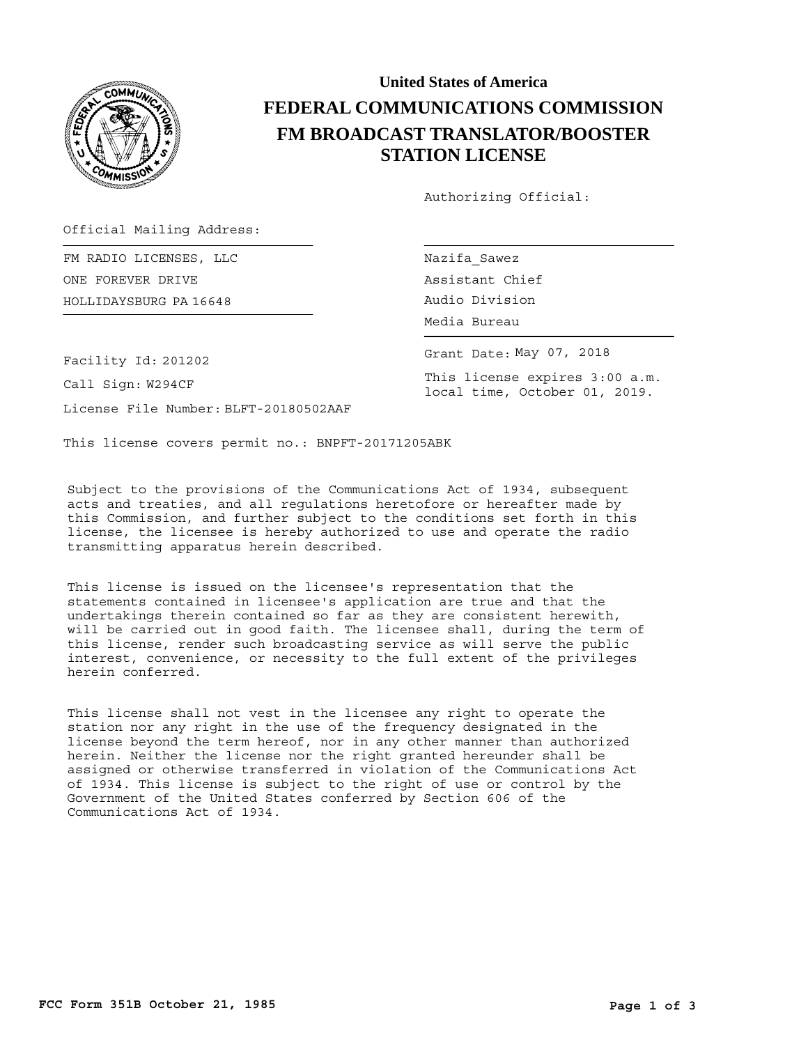

## **United States of America FEDERAL COMMUNICATIONS COMMISSION FM BROADCAST TRANSLATOR/BOOSTER STATION LICENSE**

Authorizing Official:

Grant Date: May 07, 2018

This license expires 3:00 a.m. local time, October 01, 2019.

Official Mailing Address:

HOLLIDAYSBURG Audio Division PA 16648 FM RADIO LICENSES, LLC ONE FOREVER DRIVE

Nazifa\_Sawez Assistant Chief Media Bureau

Facility Id: 201202

Call Sign: W294CF

License File Number: BLFT-20180502AAF

This license covers permit no.: BNPFT-20171205ABK

Subject to the provisions of the Communications Act of 1934, subsequent acts and treaties, and all regulations heretofore or hereafter made by this Commission, and further subject to the conditions set forth in this license, the licensee is hereby authorized to use and operate the radio transmitting apparatus herein described.

This license is issued on the licensee's representation that the statements contained in licensee's application are true and that the undertakings therein contained so far as they are consistent herewith, will be carried out in good faith. The licensee shall, during the term of this license, render such broadcasting service as will serve the public interest, convenience, or necessity to the full extent of the privileges herein conferred.

This license shall not vest in the licensee any right to operate the station nor any right in the use of the frequency designated in the license beyond the term hereof, nor in any other manner than authorized herein. Neither the license nor the right granted hereunder shall be assigned or otherwise transferred in violation of the Communications Act of 1934. This license is subject to the right of use or control by the Government of the United States conferred by Section 606 of the Communications Act of 1934.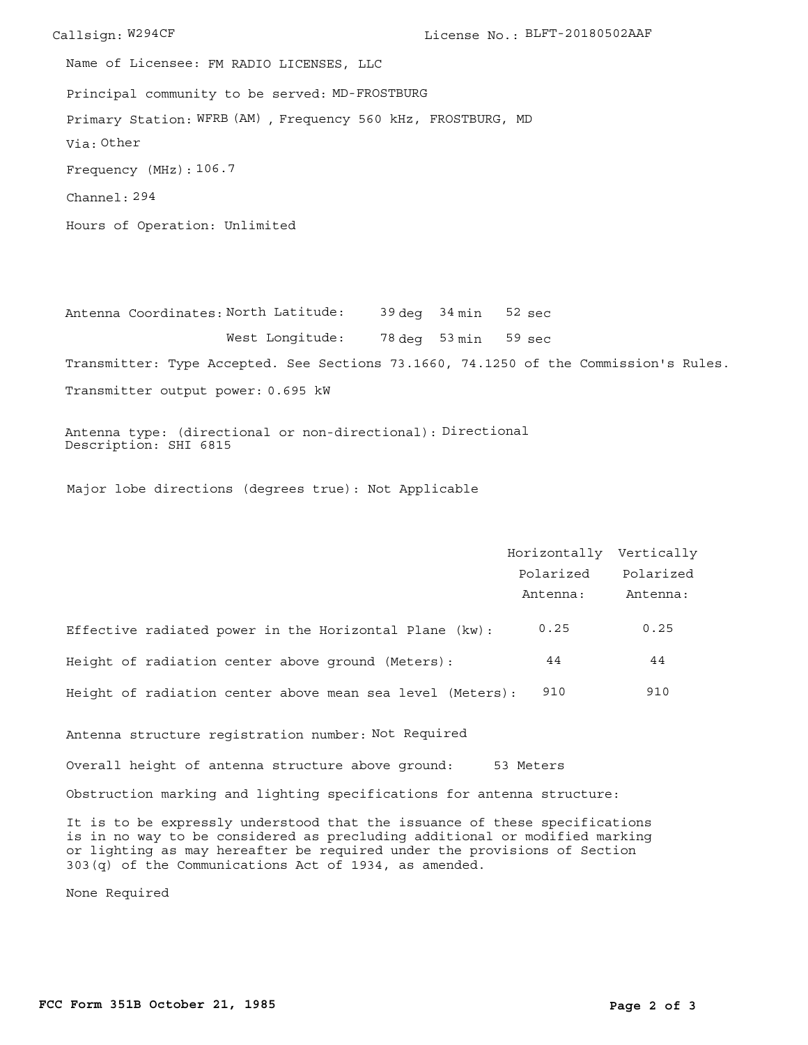Callsign: W294CF License No.: BLFT-20180502AAF Principal community to be served: MD-FROSTBURG Hours of Operation: Unlimited Frequency (MHz): 106.7 Via: Other Primary Station: WFRB (AM), Frequency 560 kHz, FROSTBURG, MD Channel: 294 Name of Licensee: FM RADIO LICENSES, LLC

Antenna Coordinates: North Latitude: 39 deg 34 min 78 deg 53 min 59 sec West Longitude: Transmitter: Type Accepted. See Sections 73.1660, 74.1250 of the Commission's Rules. sec 52

Transmitter output power: 0.695 kW

Antenna type: (directional or non-directional): Directional Description: SHI 6815

Major lobe directions (degrees true): Not Applicable

|                                                           | Horizontally Vertically |           |
|-----------------------------------------------------------|-------------------------|-----------|
|                                                           | Polarized               | Polarized |
|                                                           | Antenna:                | Antenna:  |
| Effective radiated power in the Horizontal Plane (kw):    | 0.25                    | 0.25      |
| Height of radiation center above ground (Meters):         | 44                      | 44        |
| Height of radiation center above mean sea level (Meters): | 910                     | 910       |
| Antenna structure registration number: Not Required       |                         |           |

Overall height of antenna structure above ground: 53 Meters

Obstruction marking and lighting specifications for antenna structure:

It is to be expressly understood that the issuance of these specifications is in no way to be considered as precluding additional or modified marking or lighting as may hereafter be required under the provisions of Section 303(q) of the Communications Act of 1934, as amended.

None Required